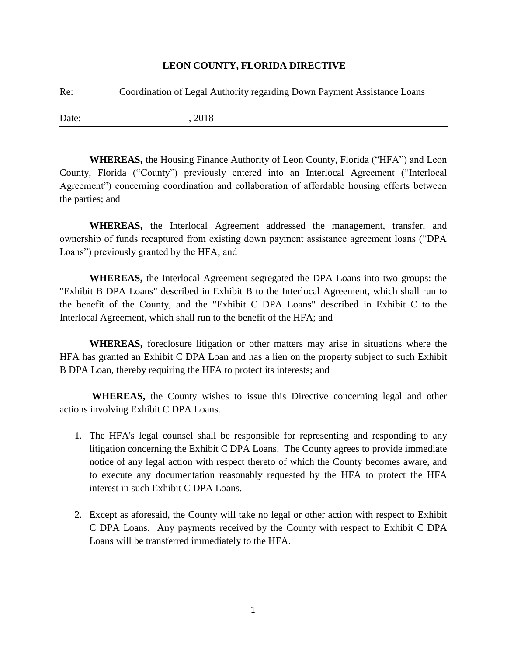## **LEON COUNTY, FLORIDA DIRECTIVE**

| Re:   | Coordination of Legal Authority regarding Down Payment Assistance Loans |
|-------|-------------------------------------------------------------------------|
| Date: | 2018                                                                    |

**WHEREAS,** the Housing Finance Authority of Leon County, Florida ("HFA") and Leon County, Florida ("County") previously entered into an Interlocal Agreement ("Interlocal Agreement") concerning coordination and collaboration of affordable housing efforts between the parties; and

**WHEREAS,** the Interlocal Agreement addressed the management, transfer, and ownership of funds recaptured from existing down payment assistance agreement loans ("DPA Loans") previously granted by the HFA; and

**WHEREAS,** the Interlocal Agreement segregated the DPA Loans into two groups: the "Exhibit B DPA Loans" described in Exhibit B to the Interlocal Agreement, which shall run to the benefit of the County, and the "Exhibit C DPA Loans" described in Exhibit C to the Interlocal Agreement, which shall run to the benefit of the HFA; and

**WHEREAS,** foreclosure litigation or other matters may arise in situations where the HFA has granted an Exhibit C DPA Loan and has a lien on the property subject to such Exhibit B DPA Loan, thereby requiring the HFA to protect its interests; and

**WHEREAS,** the County wishes to issue this Directive concerning legal and other actions involving Exhibit C DPA Loans.

- 1. The HFA's legal counsel shall be responsible for representing and responding to any litigation concerning the Exhibit C DPA Loans. The County agrees to provide immediate notice of any legal action with respect thereto of which the County becomes aware, and to execute any documentation reasonably requested by the HFA to protect the HFA interest in such Exhibit C DPA Loans.
- 2. Except as aforesaid, the County will take no legal or other action with respect to Exhibit C DPA Loans. Any payments received by the County with respect to Exhibit C DPA Loans will be transferred immediately to the HFA.